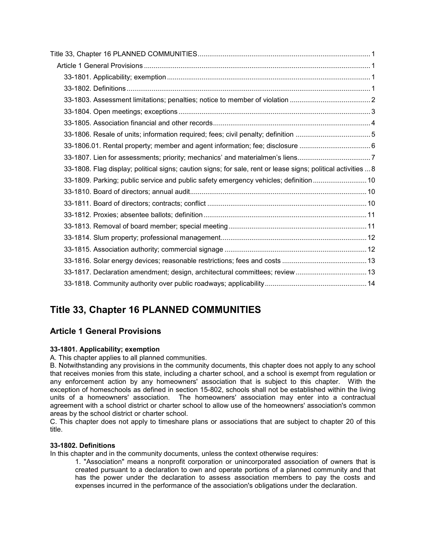| 33-1806.01. Rental property; member and agent information; fee; disclosure  6                                 |
|---------------------------------------------------------------------------------------------------------------|
| 33-1807. Lien for assessments; priority; mechanics' and materialmen's liens7                                  |
| 33-1808. Flag display; political signs; caution signs; for sale, rent or lease signs; political activities  8 |
| 33-1809. Parking; public service and public safety emergency vehicles; definition  10                         |
|                                                                                                               |
|                                                                                                               |
|                                                                                                               |
|                                                                                                               |
|                                                                                                               |
|                                                                                                               |
|                                                                                                               |
|                                                                                                               |
|                                                                                                               |

# <span id="page-0-0"></span>**Title 33, Chapter 16 PLANNED COMMUNITIES**

# <span id="page-0-1"></span>**Article 1 General Provisions**

## <span id="page-0-2"></span>**33-1801. Applicability; exemption**

A. This chapter applies to all planned communities.

B. Notwithstanding any provisions in the community documents, this chapter does not apply to any school that receives monies from this state, including a charter school, and a school is exempt from regulation or any enforcement action by any homeowners' association that is subject to this chapter. With the exception of homeschools as defined in section 15-802, schools shall not be established within the living units of a homeowners' association. The homeowners' association may enter into a contractual agreement with a school district or charter school to allow use of the homeowners' association's common areas by the school district or charter school.

C. This chapter does not apply to timeshare plans or associations that are subject to chapter 20 of this title.

## <span id="page-0-3"></span>**33-1802. Definitions**

In this chapter and in the community documents, unless the context otherwise requires:

1. "Association" means a nonprofit corporation or unincorporated association of owners that is created pursuant to a declaration to own and operate portions of a planned community and that has the power under the declaration to assess association members to pay the costs and expenses incurred in the performance of the association's obligations under the declaration.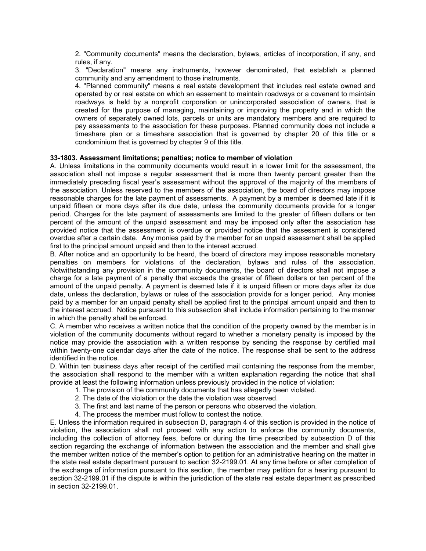2. "Community documents" means the declaration, bylaws, articles of incorporation, if any, and rules, if any.

3. "Declaration" means any instruments, however denominated, that establish a planned community and any amendment to those instruments.

4. "Planned community" means a real estate development that includes real estate owned and operated by or real estate on which an easement to maintain roadways or a covenant to maintain roadways is held by a nonprofit corporation or unincorporated association of owners, that is created for the purpose of managing, maintaining or improving the property and in which the owners of separately owned lots, parcels or units are mandatory members and are required to pay assessments to the association for these purposes. Planned community does not include a timeshare plan or a timeshare association that is governed by chapter 20 of this title or a condominium that is governed by chapter 9 of this title.

#### <span id="page-1-0"></span>**33-1803. Assessment limitations; penalties; notice to member of violation**

A. Unless limitations in the community documents would result in a lower limit for the assessment, the association shall not impose a regular assessment that is more than twenty percent greater than the immediately preceding fiscal year's assessment without the approval of the majority of the members of the association. Unless reserved to the members of the association, the board of directors may impose reasonable charges for the late payment of assessments. A payment by a member is deemed late if it is unpaid fifteen or more days after its due date, unless the community documents provide for a longer period. Charges for the late payment of assessments are limited to the greater of fifteen dollars or ten percent of the amount of the unpaid assessment and may be imposed only after the association has provided notice that the assessment is overdue or provided notice that the assessment is considered overdue after a certain date. Any monies paid by the member for an unpaid assessment shall be applied first to the principal amount unpaid and then to the interest accrued.

B. After notice and an opportunity to be heard, the board of directors may impose reasonable monetary penalties on members for violations of the declaration, bylaws and rules of the association. Notwithstanding any provision in the community documents, the board of directors shall not impose a charge for a late payment of a penalty that exceeds the greater of fifteen dollars or ten percent of the amount of the unpaid penalty. A payment is deemed late if it is unpaid fifteen or more days after its due date, unless the declaration, bylaws or rules of the association provide for a longer period. Any monies paid by a member for an unpaid penalty shall be applied first to the principal amount unpaid and then to the interest accrued. Notice pursuant to this subsection shall include information pertaining to the manner in which the penalty shall be enforced.

C. A member who receives a written notice that the condition of the property owned by the member is in violation of the community documents without regard to whether a monetary penalty is imposed by the notice may provide the association with a written response by sending the response by certified mail within twenty-one calendar days after the date of the notice. The response shall be sent to the address identified in the notice.

D. Within ten business days after receipt of the certified mail containing the response from the member, the association shall respond to the member with a written explanation regarding the notice that shall provide at least the following information unless previously provided in the notice of violation:

- 1. The provision of the community documents that has allegedly been violated.
- 2. The date of the violation or the date the violation was observed.
- 3. The first and last name of the person or persons who observed the violation.
- 4. The process the member must follow to contest the notice.

E. Unless the information required in subsection D, paragraph 4 of this section is provided in the notice of violation, the association shall not proceed with any action to enforce the community documents, including the collection of attorney fees, before or during the time prescribed by subsection D of this section regarding the exchange of information between the association and the member and shall give the member written notice of the member's option to petition for an administrative hearing on the matter in the state real estate department pursuant to section 32-2199.01. At any time before or after completion of the exchange of information pursuant to this section, the member may petition for a hearing pursuant to section 32-2199.01 if the dispute is within the jurisdiction of the state real estate department as prescribed in section 32-2199.01.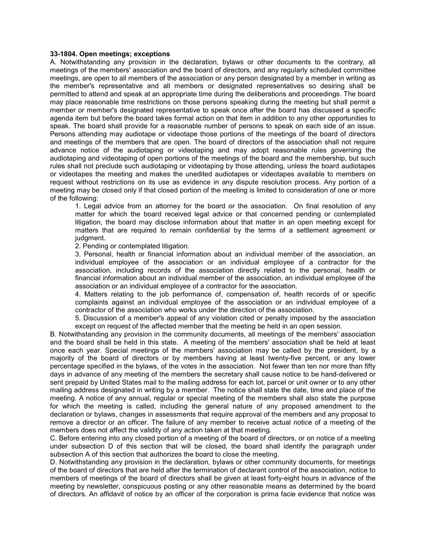#### <span id="page-2-0"></span>**33-1804. Open meetings; exceptions**

A. Notwithstanding any provision in the declaration, bylaws or other documents to the contrary, all meetings of the members' association and the board of directors, and any regularly scheduled committee meetings, are open to all members of the association or any person designated by a member in writing as the member's representative and all members or designated representatives so desiring shall be permitted to attend and speak at an appropriate time during the deliberations and proceedings. The board may place reasonable time restrictions on those persons speaking during the meeting but shall permit a member or member's designated representative to speak once after the board has discussed a specific agenda item but before the board takes formal action on that item in addition to any other opportunities to speak. The board shall provide for a reasonable number of persons to speak on each side of an issue. Persons attending may audiotape or videotape those portions of the meetings of the board of directors and meetings of the members that are open. The board of directors of the association shall not require advance notice of the audiotaping or videotaping and may adopt reasonable rules governing the audiotaping and videotaping of open portions of the meetings of the board and the membership, but such rules shall not preclude such audiotaping or videotaping by those attending, unless the board audiotapes or videotapes the meeting and makes the unedited audiotapes or videotapes available to members on request without restrictions on its use as evidence in any dispute resolution process. Any portion of a meeting may be closed only if that closed portion of the meeting is limited to consideration of one or more of the following:

1. Legal advice from an attorney for the board or the association. On final resolution of any matter for which the board received legal advice or that concerned pending or contemplated litigation, the board may disclose information about that matter in an open meeting except for matters that are required to remain confidential by the terms of a settlement agreement or judgment.

2. Pending or contemplated litigation.

3. Personal, health or financial information about an individual member of the association, an individual employee of the association or an individual employee of a contractor for the association, including records of the association directly related to the personal, health or financial information about an individual member of the association, an individual employee of the association or an individual employee of a contractor for the association.

4. Matters relating to the job performance of, compensation of, health records of or specific complaints against an individual employee of the association or an individual employee of a contractor of the association who works under the direction of the association.

5. Discussion of a member's appeal of any violation cited or penalty imposed by the association except on request of the affected member that the meeting be held in an open session.

B. Notwithstanding any provision in the community documents, all meetings of the members' association and the board shall be held in this state. A meeting of the members' association shall be held at least once each year. Special meetings of the members' association may be called by the president, by a majority of the board of directors or by members having at least twenty-five percent, or any lower percentage specified in the bylaws, of the votes in the association. Not fewer than ten nor more than fifty days in advance of any meeting of the members the secretary shall cause notice to be hand-delivered or sent prepaid by United States mail to the mailing address for each lot, parcel or unit owner or to any other mailing address designated in writing by a member. The notice shall state the date, time and place of the meeting. A notice of any annual, regular or special meeting of the members shall also state the purpose for which the meeting is called, including the general nature of any proposed amendment to the declaration or bylaws, changes in assessments that require approval of the members and any proposal to remove a director or an officer. The failure of any member to receive actual notice of a meeting of the members does not affect the validity of any action taken at that meeting.

C. Before entering into any closed portion of a meeting of the board of directors, or on notice of a meeting under subsection D of this section that will be closed, the board shall identify the paragraph under subsection A of this section that authorizes the board to close the meeting.

D. Notwithstanding any provision in the declaration, bylaws or other community documents, for meetings of the board of directors that are held after the termination of declarant control of the association, notice to members of meetings of the board of directors shall be given at least forty-eight hours in advance of the meeting by newsletter, conspicuous posting or any other reasonable means as determined by the board of directors. An affidavit of notice by an officer of the corporation is prima facie evidence that notice was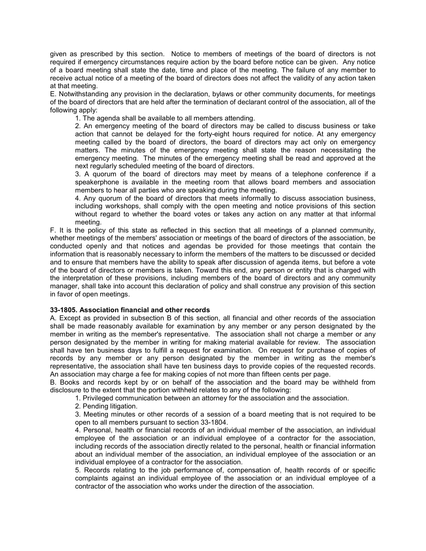given as prescribed by this section. Notice to members of meetings of the board of directors is not required if emergency circumstances require action by the board before notice can be given. Any notice of a board meeting shall state the date, time and place of the meeting. The failure of any member to receive actual notice of a meeting of the board of directors does not affect the validity of any action taken at that meeting.

E. Notwithstanding any provision in the declaration, bylaws or other community documents, for meetings of the board of directors that are held after the termination of declarant control of the association, all of the following apply:

1. The agenda shall be available to all members attending.

2. An emergency meeting of the board of directors may be called to discuss business or take action that cannot be delayed for the forty-eight hours required for notice. At any emergency meeting called by the board of directors, the board of directors may act only on emergency matters. The minutes of the emergency meeting shall state the reason necessitating the emergency meeting. The minutes of the emergency meeting shall be read and approved at the next regularly scheduled meeting of the board of directors.

3. A quorum of the board of directors may meet by means of a telephone conference if a speakerphone is available in the meeting room that allows board members and association members to hear all parties who are speaking during the meeting.

4. Any quorum of the board of directors that meets informally to discuss association business, including workshops, shall comply with the open meeting and notice provisions of this section without regard to whether the board votes or takes any action on any matter at that informal meeting.

F. It is the policy of this state as reflected in this section that all meetings of a planned community, whether meetings of the members' association or meetings of the board of directors of the association, be conducted openly and that notices and agendas be provided for those meetings that contain the information that is reasonably necessary to inform the members of the matters to be discussed or decided and to ensure that members have the ability to speak after discussion of agenda items, but before a vote of the board of directors or members is taken. Toward this end, any person or entity that is charged with the interpretation of these provisions, including members of the board of directors and any community manager, shall take into account this declaration of policy and shall construe any provision of this section in favor of open meetings.

#### <span id="page-3-0"></span>**33-1805. Association financial and other records**

A. Except as provided in subsection B of this section, all financial and other records of the association shall be made reasonably available for examination by any member or any person designated by the member in writing as the member's representative. The association shall not charge a member or any person designated by the member in writing for making material available for review. The association shall have ten business days to fulfill a request for examination. On request for purchase of copies of records by any member or any person designated by the member in writing as the member's representative, the association shall have ten business days to provide copies of the requested records. An association may charge a fee for making copies of not more than fifteen cents per page.

B. Books and records kept by or on behalf of the association and the board may be withheld from disclosure to the extent that the portion withheld relates to any of the following:

1. Privileged communication between an attorney for the association and the association.

2. Pending litigation.

3. Meeting minutes or other records of a session of a board meeting that is not required to be open to all members pursuant to section 33-1804.

4. Personal, health or financial records of an individual member of the association, an individual employee of the association or an individual employee of a contractor for the association, including records of the association directly related to the personal, health or financial information about an individual member of the association, an individual employee of the association or an individual employee of a contractor for the association.

5. Records relating to the job performance of, compensation of, health records of or specific complaints against an individual employee of the association or an individual employee of a contractor of the association who works under the direction of the association.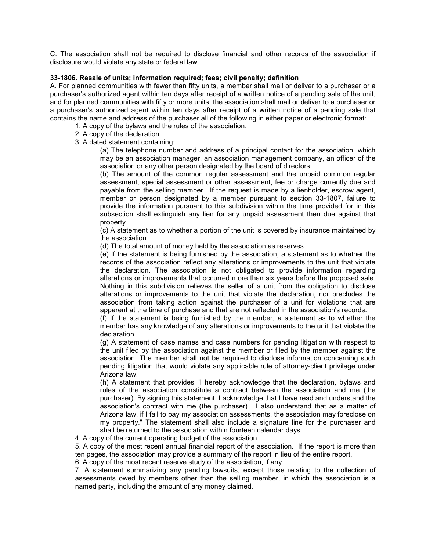C. The association shall not be required to disclose financial and other records of the association if disclosure would violate any state or federal law.

#### <span id="page-4-0"></span>**33-1806. Resale of units; information required; fees; civil penalty; definition**

A. For planned communities with fewer than fifty units, a member shall mail or deliver to a purchaser or a purchaser's authorized agent within ten days after receipt of a written notice of a pending sale of the unit, and for planned communities with fifty or more units, the association shall mail or deliver to a purchaser or a purchaser's authorized agent within ten days after receipt of a written notice of a pending sale that contains the name and address of the purchaser all of the following in either paper or electronic format:

1. A copy of the bylaws and the rules of the association.

- 2. A copy of the declaration.
- 3. A dated statement containing:

(a) The telephone number and address of a principal contact for the association, which may be an association manager, an association management company, an officer of the association or any other person designated by the board of directors.

(b) The amount of the common regular assessment and the unpaid common regular assessment, special assessment or other assessment, fee or charge currently due and payable from the selling member. If the request is made by a lienholder, escrow agent, member or person designated by a member pursuant to section 33-1807, failure to provide the information pursuant to this subdivision within the time provided for in this subsection shall extinguish any lien for any unpaid assessment then due against that property.

(c) A statement as to whether a portion of the unit is covered by insurance maintained by the association.

(d) The total amount of money held by the association as reserves.

(e) If the statement is being furnished by the association, a statement as to whether the records of the association reflect any alterations or improvements to the unit that violate the declaration. The association is not obligated to provide information regarding alterations or improvements that occurred more than six years before the proposed sale. Nothing in this subdivision relieves the seller of a unit from the obligation to disclose alterations or improvements to the unit that violate the declaration, nor precludes the association from taking action against the purchaser of a unit for violations that are apparent at the time of purchase and that are not reflected in the association's records.

(f) If the statement is being furnished by the member, a statement as to whether the member has any knowledge of any alterations or improvements to the unit that violate the declaration.

(g) A statement of case names and case numbers for pending litigation with respect to the unit filed by the association against the member or filed by the member against the association. The member shall not be required to disclose information concerning such pending litigation that would violate any applicable rule of attorney-client privilege under Arizona law.

(h) A statement that provides "I hereby acknowledge that the declaration, bylaws and rules of the association constitute a contract between the association and me (the purchaser). By signing this statement, I acknowledge that I have read and understand the association's contract with me (the purchaser). I also understand that as a matter of Arizona law, if I fail to pay my association assessments, the association may foreclose on my property." The statement shall also include a signature line for the purchaser and shall be returned to the association within fourteen calendar days.

4. A copy of the current operating budget of the association.

5. A copy of the most recent annual financial report of the association. If the report is more than ten pages, the association may provide a summary of the report in lieu of the entire report.

6. A copy of the most recent reserve study of the association, if any.

7. A statement summarizing any pending lawsuits, except those relating to the collection of assessments owed by members other than the selling member, in which the association is a named party, including the amount of any money claimed.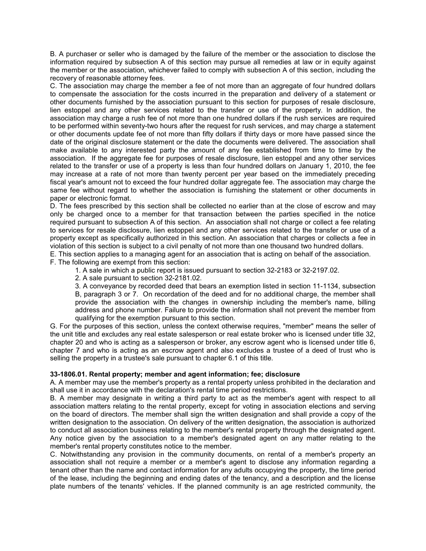B. A purchaser or seller who is damaged by the failure of the member or the association to disclose the information required by subsection A of this section may pursue all remedies at law or in equity against the member or the association, whichever failed to comply with subsection A of this section, including the recovery of reasonable attorney fees.

C. The association may charge the member a fee of not more than an aggregate of four hundred dollars to compensate the association for the costs incurred in the preparation and delivery of a statement or other documents furnished by the association pursuant to this section for purposes of resale disclosure, lien estoppel and any other services related to the transfer or use of the property. In addition, the association may charge a rush fee of not more than one hundred dollars if the rush services are required to be performed within seventy-two hours after the request for rush services, and may charge a statement or other documents update fee of not more than fifty dollars if thirty days or more have passed since the date of the original disclosure statement or the date the documents were delivered. The association shall make available to any interested party the amount of any fee established from time to time by the association. If the aggregate fee for purposes of resale disclosure, lien estoppel and any other services related to the transfer or use of a property is less than four hundred dollars on January 1, 2010, the fee may increase at a rate of not more than twenty percent per year based on the immediately preceding fiscal year's amount not to exceed the four hundred dollar aggregate fee. The association may charge the same fee without regard to whether the association is furnishing the statement or other documents in paper or electronic format.

D. The fees prescribed by this section shall be collected no earlier than at the close of escrow and may only be charged once to a member for that transaction between the parties specified in the notice required pursuant to subsection A of this section. An association shall not charge or collect a fee relating to services for resale disclosure, lien estoppel and any other services related to the transfer or use of a property except as specifically authorized in this section. An association that charges or collects a fee in violation of this section is subject to a civil penalty of not more than one thousand two hundred dollars.

E. This section applies to a managing agent for an association that is acting on behalf of the association. F. The following are exempt from this section:

- 1. A sale in which a public report is issued pursuant to section 32-2183 or 32-2197.02.
- 2. A sale pursuant to section 32-2181.02.

3. A conveyance by recorded deed that bears an exemption listed in section 11-1134, subsection B, paragraph 3 or 7. On recordation of the deed and for no additional charge, the member shall provide the association with the changes in ownership including the member's name, billing address and phone number. Failure to provide the information shall not prevent the member from qualifying for the exemption pursuant to this section.

G. For the purposes of this section, unless the context otherwise requires, "member" means the seller of the unit title and excludes any real estate salesperson or real estate broker who is licensed under title 32, chapter 20 and who is acting as a salesperson or broker, any escrow agent who is licensed under title 6, chapter 7 and who is acting as an escrow agent and also excludes a trustee of a deed of trust who is selling the property in a trustee's sale pursuant to chapter 6.1 of this title.

#### <span id="page-5-0"></span>**33-1806.01. Rental property; member and agent information; fee; disclosure**

A. A member may use the member's property as a rental property unless prohibited in the declaration and shall use it in accordance with the declaration's rental time period restrictions.

B. A member may designate in writing a third party to act as the member's agent with respect to all association matters relating to the rental property, except for voting in association elections and serving on the board of directors. The member shall sign the written designation and shall provide a copy of the written designation to the association. On delivery of the written designation, the association is authorized to conduct all association business relating to the member's rental property through the designated agent. Any notice given by the association to a member's designated agent on any matter relating to the member's rental property constitutes notice to the member.

C. Notwithstanding any provision in the community documents, on rental of a member's property an association shall not require a member or a member's agent to disclose any information regarding a tenant other than the name and contact information for any adults occupying the property, the time period of the lease, including the beginning and ending dates of the tenancy, and a description and the license plate numbers of the tenants' vehicles. If the planned community is an age restricted community, the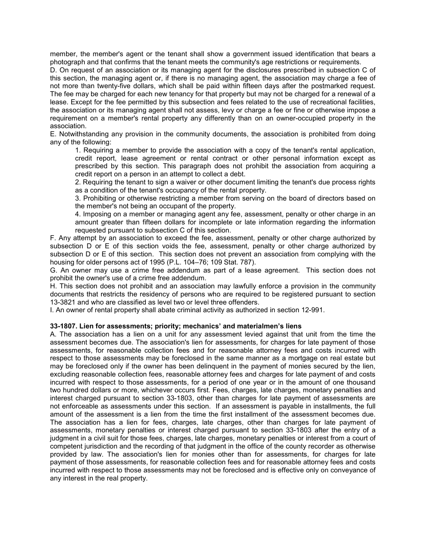member, the member's agent or the tenant shall show a government issued identification that bears a photograph and that confirms that the tenant meets the community's age restrictions or requirements.

D. On request of an association or its managing agent for the disclosures prescribed in subsection C of this section, the managing agent or, if there is no managing agent, the association may charge a fee of not more than twenty-five dollars, which shall be paid within fifteen days after the postmarked request. The fee may be charged for each new tenancy for that property but may not be charged for a renewal of a lease. Except for the fee permitted by this subsection and fees related to the use of recreational facilities, the association or its managing agent shall not assess, levy or charge a fee or fine or otherwise impose a requirement on a member's rental property any differently than on an owner-occupied property in the association.

E. Notwithstanding any provision in the community documents, the association is prohibited from doing any of the following:

1. Requiring a member to provide the association with a copy of the tenant's rental application, credit report, lease agreement or rental contract or other personal information except as prescribed by this section. This paragraph does not prohibit the association from acquiring a credit report on a person in an attempt to collect a debt.

2. Requiring the tenant to sign a waiver or other document limiting the tenant's due process rights as a condition of the tenant's occupancy of the rental property.

3. Prohibiting or otherwise restricting a member from serving on the board of directors based on the member's not being an occupant of the property.

4. Imposing on a member or managing agent any fee, assessment, penalty or other charge in an amount greater than fifteen dollars for incomplete or late information regarding the information requested pursuant to subsection C of this section.

F. Any attempt by an association to exceed the fee, assessment, penalty or other charge authorized by subsection D or E of this section voids the fee, assessment, penalty or other charge authorized by subsection D or E of this section. This section does not prevent an association from complying with the housing for older persons act of 1995 (P.L. 104–76; 109 Stat. 787).

G. An owner may use a crime free addendum as part of a lease agreement. This section does not prohibit the owner's use of a crime free addendum.

H. This section does not prohibit and an association may lawfully enforce a provision in the community documents that restricts the residency of persons who are required to be registered pursuant to section 13-3821 and who are classified as level two or level three offenders.

I. An owner of rental property shall abate criminal activity as authorized in section 12-991.

#### <span id="page-6-0"></span>**33-1807. Lien for assessments; priority; mechanics' and materialmen's liens**

A. The association has a lien on a unit for any assessment levied against that unit from the time the assessment becomes due. The association's lien for assessments, for charges for late payment of those assessments, for reasonable collection fees and for reasonable attorney fees and costs incurred with respect to those assessments may be foreclosed in the same manner as a mortgage on real estate but may be foreclosed only if the owner has been delinquent in the payment of monies secured by the lien, excluding reasonable collection fees, reasonable attorney fees and charges for late payment of and costs incurred with respect to those assessments, for a period of one year or in the amount of one thousand two hundred dollars or more, whichever occurs first. Fees, charges, late charges, monetary penalties and interest charged pursuant to section 33-1803, other than charges for late payment of assessments are not enforceable as assessments under this section. If an assessment is payable in installments, the full amount of the assessment is a lien from the time the first installment of the assessment becomes due. The association has a lien for fees, charges, late charges, other than charges for late payment of assessments, monetary penalties or interest charged pursuant to section 33-1803 after the entry of a judgment in a civil suit for those fees, charges, late charges, monetary penalties or interest from a court of competent jurisdiction and the recording of that judgment in the office of the county recorder as otherwise provided by law. The association's lien for monies other than for assessments, for charges for late payment of those assessments, for reasonable collection fees and for reasonable attorney fees and costs incurred with respect to those assessments may not be foreclosed and is effective only on conveyance of any interest in the real property.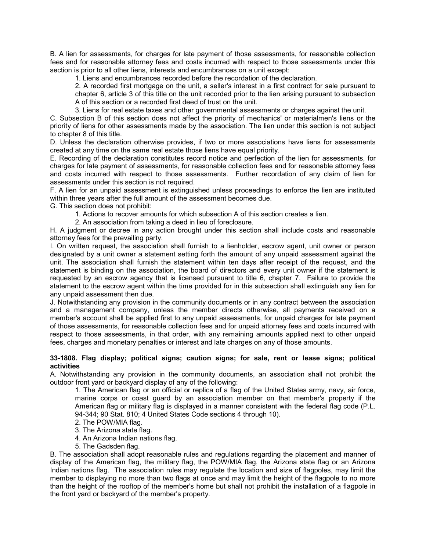B. A lien for assessments, for charges for late payment of those assessments, for reasonable collection fees and for reasonable attorney fees and costs incurred with respect to those assessments under this section is prior to all other liens, interests and encumbrances on a unit except:

1. Liens and encumbrances recorded before the recordation of the declaration.

2. A recorded first mortgage on the unit, a seller's interest in a first contract for sale pursuant to chapter 6, article 3 of this title on the unit recorded prior to the lien arising pursuant to subsection A of this section or a recorded first deed of trust on the unit.

3. Liens for real estate taxes and other governmental assessments or charges against the unit.

C. Subsection B of this section does not affect the priority of mechanics' or materialmen's liens or the priority of liens for other assessments made by the association. The lien under this section is not subject to chapter 8 of this title.

D. Unless the declaration otherwise provides, if two or more associations have liens for assessments created at any time on the same real estate those liens have equal priority.

E. Recording of the declaration constitutes record notice and perfection of the lien for assessments, for charges for late payment of assessments, for reasonable collection fees and for reasonable attorney fees and costs incurred with respect to those assessments. Further recordation of any claim of lien for assessments under this section is not required.

F. A lien for an unpaid assessment is extinguished unless proceedings to enforce the lien are instituted within three years after the full amount of the assessment becomes due.

G. This section does not prohibit:

1. Actions to recover amounts for which subsection A of this section creates a lien.

2. An association from taking a deed in lieu of foreclosure.

H. A judgment or decree in any action brought under this section shall include costs and reasonable attorney fees for the prevailing party.

I. On written request, the association shall furnish to a lienholder, escrow agent, unit owner or person designated by a unit owner a statement setting forth the amount of any unpaid assessment against the unit. The association shall furnish the statement within ten days after receipt of the request, and the statement is binding on the association, the board of directors and every unit owner if the statement is requested by an escrow agency that is licensed pursuant to title 6, chapter 7. Failure to provide the statement to the escrow agent within the time provided for in this subsection shall extinguish any lien for any unpaid assessment then due.

J. Notwithstanding any provision in the community documents or in any contract between the association and a management company, unless the member directs otherwise, all payments received on a member's account shall be applied first to any unpaid assessments, for unpaid charges for late payment of those assessments, for reasonable collection fees and for unpaid attorney fees and costs incurred with respect to those assessments, in that order, with any remaining amounts applied next to other unpaid fees, charges and monetary penalties or interest and late charges on any of those amounts.

#### <span id="page-7-0"></span>**33-1808. Flag display; political signs; caution signs; for sale, rent or lease signs; political activities**

A. Notwithstanding any provision in the community documents, an association shall not prohibit the outdoor front yard or backyard display of any of the following:

1. The American flag or an official or replica of a flag of the United States army, navy, air force, marine corps or coast guard by an association member on that member's property if the American flag or military flag is displayed in a manner consistent with the federal flag code (P.L. 94-344; 90 Stat. 810; 4 United States Code sections 4 through 10).

2. The POW/MIA flag.

3. The Arizona state flag.

4. An Arizona Indian nations flag.

5. The Gadsden flag.

B. The association shall adopt reasonable rules and regulations regarding the placement and manner of display of the American flag, the military flag, the POW/MIA flag, the Arizona state flag or an Arizona Indian nations flag. The association rules may regulate the location and size of flagpoles, may limit the member to displaying no more than two flags at once and may limit the height of the flagpole to no more than the height of the rooftop of the member's home but shall not prohibit the installation of a flagpole in the front yard or backyard of the member's property.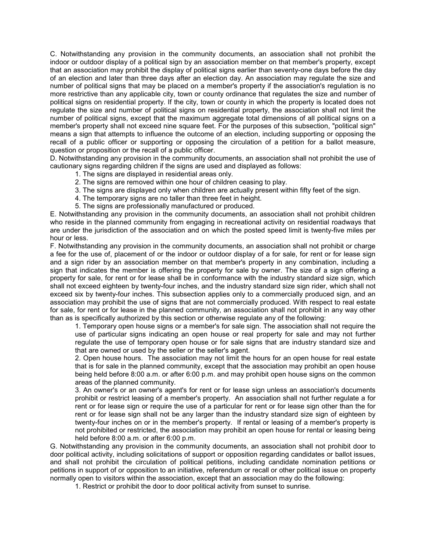C. Notwithstanding any provision in the community documents, an association shall not prohibit the indoor or outdoor display of a political sign by an association member on that member's property, except that an association may prohibit the display of political signs earlier than seventy-one days before the day of an election and later than three days after an election day. An association may regulate the size and number of political signs that may be placed on a member's property if the association's regulation is no more restrictive than any applicable city, town or county ordinance that regulates the size and number of political signs on residential property. If the city, town or county in which the property is located does not regulate the size and number of political signs on residential property, the association shall not limit the number of political signs, except that the maximum aggregate total dimensions of all political signs on a member's property shall not exceed nine square feet. For the purposes of this subsection, "political sign" means a sign that attempts to influence the outcome of an election, including supporting or opposing the recall of a public officer or supporting or opposing the circulation of a petition for a ballot measure, question or proposition or the recall of a public officer.

D. Notwithstanding any provision in the community documents, an association shall not prohibit the use of cautionary signs regarding children if the signs are used and displayed as follows:

1. The signs are displayed in residential areas only.

- 2. The signs are removed within one hour of children ceasing to play.
- 3. The signs are displayed only when children are actually present within fifty feet of the sign.
- 4. The temporary signs are no taller than three feet in height.
- 5. The signs are professionally manufactured or produced.

E. Notwithstanding any provision in the community documents, an association shall not prohibit children who reside in the planned community from engaging in recreational activity on residential roadways that are under the jurisdiction of the association and on which the posted speed limit is twenty-five miles per hour or less.

F. Notwithstanding any provision in the community documents, an association shall not prohibit or charge a fee for the use of, placement of or the indoor or outdoor display of a for sale, for rent or for lease sign and a sign rider by an association member on that member's property in any combination, including a sign that indicates the member is offering the property for sale by owner. The size of a sign offering a property for sale, for rent or for lease shall be in conformance with the industry standard size sign, which shall not exceed eighteen by twenty-four inches, and the industry standard size sign rider, which shall not exceed six by twenty-four inches. This subsection applies only to a commercially produced sign, and an association may prohibit the use of signs that are not commercially produced. With respect to real estate for sale, for rent or for lease in the planned community, an association shall not prohibit in any way other than as is specifically authorized by this section or otherwise regulate any of the following:

1. Temporary open house signs or a member's for sale sign. The association shall not require the use of particular signs indicating an open house or real property for sale and may not further regulate the use of temporary open house or for sale signs that are industry standard size and that are owned or used by the seller or the seller's agent.

2. Open house hours. The association may not limit the hours for an open house for real estate that is for sale in the planned community, except that the association may prohibit an open house being held before 8:00 a.m. or after 6:00 p.m. and may prohibit open house signs on the common areas of the planned community.

3. An owner's or an owner's agent's for rent or for lease sign unless an association's documents prohibit or restrict leasing of a member's property. An association shall not further regulate a for rent or for lease sign or require the use of a particular for rent or for lease sign other than the for rent or for lease sign shall not be any larger than the industry standard size sign of eighteen by twenty-four inches on or in the member's property. If rental or leasing of a member's property is not prohibited or restricted, the association may prohibit an open house for rental or leasing being held before 8:00 a.m. or after 6:00 p.m.

G. Notwithstanding any provision in the community documents, an association shall not prohibit door to door political activity, including solicitations of support or opposition regarding candidates or ballot issues, and shall not prohibit the circulation of political petitions, including candidate nomination petitions or petitions in support of or opposition to an initiative, referendum or recall or other political issue on property normally open to visitors within the association, except that an association may do the following:

1. Restrict or prohibit the door to door political activity from sunset to sunrise.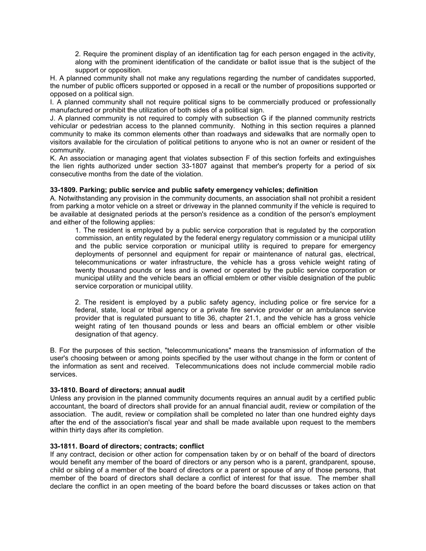2. Require the prominent display of an identification tag for each person engaged in the activity, along with the prominent identification of the candidate or ballot issue that is the subject of the support or opposition.

H. A planned community shall not make any regulations regarding the number of candidates supported, the number of public officers supported or opposed in a recall or the number of propositions supported or opposed on a political sign.

I. A planned community shall not require political signs to be commercially produced or professionally manufactured or prohibit the utilization of both sides of a political sign.

J. A planned community is not required to comply with subsection G if the planned community restricts vehicular or pedestrian access to the planned community. Nothing in this section requires a planned community to make its common elements other than roadways and sidewalks that are normally open to visitors available for the circulation of political petitions to anyone who is not an owner or resident of the community.

K. An association or managing agent that violates subsection F of this section forfeits and extinguishes the lien rights authorized under section 33-1807 against that member's property for a period of six consecutive months from the date of the violation.

#### <span id="page-9-0"></span>**33-1809. Parking; public service and public safety emergency vehicles; definition**

A. Notwithstanding any provision in the community documents, an association shall not prohibit a resident from parking a motor vehicle on a street or driveway in the planned community if the vehicle is required to be available at designated periods at the person's residence as a condition of the person's employment and either of the following applies:

1. The resident is employed by a public service corporation that is regulated by the corporation commission, an entity regulated by the federal energy regulatory commission or a municipal utility and the public service corporation or municipal utility is required to prepare for emergency deployments of personnel and equipment for repair or maintenance of natural gas, electrical, telecommunications or water infrastructure, the vehicle has a gross vehicle weight rating of twenty thousand pounds or less and is owned or operated by the public service corporation or municipal utility and the vehicle bears an official emblem or other visible designation of the public service corporation or municipal utility.

2. The resident is employed by a public safety agency, including police or fire service for a federal, state, local or tribal agency or a private fire service provider or an ambulance service provider that is regulated pursuant to title 36, chapter 21.1, and the vehicle has a gross vehicle weight rating of ten thousand pounds or less and bears an official emblem or other visible designation of that agency.

B. For the purposes of this section, "telecommunications" means the transmission of information of the user's choosing between or among points specified by the user without change in the form or content of the information as sent and received. Telecommunications does not include commercial mobile radio services.

#### <span id="page-9-1"></span>**33-1810. Board of directors; annual audit**

Unless any provision in the planned community documents requires an annual audit by a certified public accountant, the board of directors shall provide for an annual financial audit, review or compilation of the association. The audit, review or compilation shall be completed no later than one hundred eighty days after the end of the association's fiscal year and shall be made available upon request to the members within thirty days after its completion.

#### <span id="page-9-2"></span>**33-1811. Board of directors; contracts; conflict**

If any contract, decision or other action for compensation taken by or on behalf of the board of directors would benefit any member of the board of directors or any person who is a parent, grandparent, spouse, child or sibling of a member of the board of directors or a parent or spouse of any of those persons, that member of the board of directors shall declare a conflict of interest for that issue. The member shall declare the conflict in an open meeting of the board before the board discusses or takes action on that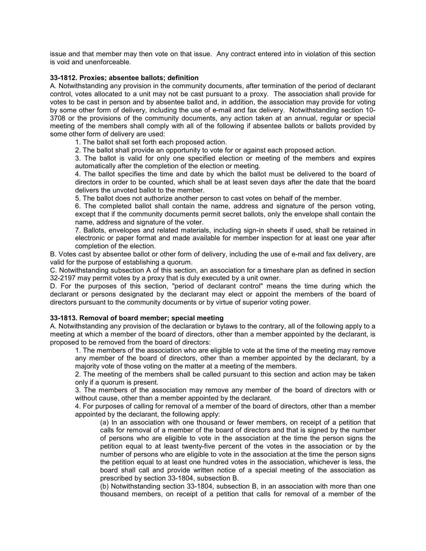issue and that member may then vote on that issue. Any contract entered into in violation of this section is void and unenforceable.

#### <span id="page-10-0"></span>**33-1812. Proxies; absentee ballots; definition**

A. Notwithstanding any provision in the community documents, after termination of the period of declarant control, votes allocated to a unit may not be cast pursuant to a proxy. The association shall provide for votes to be cast in person and by absentee ballot and, in addition, the association may provide for voting by some other form of delivery, including the use of e-mail and fax delivery. Notwithstanding section 10- 3708 or the provisions of the community documents, any action taken at an annual, regular or special meeting of the members shall comply with all of the following if absentee ballots or ballots provided by some other form of delivery are used:

1. The ballot shall set forth each proposed action.

2. The ballot shall provide an opportunity to vote for or against each proposed action.

3. The ballot is valid for only one specified election or meeting of the members and expires automatically after the completion of the election or meeting.

4. The ballot specifies the time and date by which the ballot must be delivered to the board of directors in order to be counted, which shall be at least seven days after the date that the board delivers the unvoted ballot to the member.

5. The ballot does not authorize another person to cast votes on behalf of the member.

6. The completed ballot shall contain the name, address and signature of the person voting, except that if the community documents permit secret ballots, only the envelope shall contain the name, address and signature of the voter.

7. Ballots, envelopes and related materials, including sign-in sheets if used, shall be retained in electronic or paper format and made available for member inspection for at least one year after completion of the election.

B. Votes cast by absentee ballot or other form of delivery, including the use of e-mail and fax delivery, are valid for the purpose of establishing a quorum.

C. Notwithstanding subsection A of this section, an association for a timeshare plan as defined in section 32-2197 may permit votes by a proxy that is duly executed by a unit owner.

D. For the purposes of this section, "period of declarant control" means the time during which the declarant or persons designated by the declarant may elect or appoint the members of the board of directors pursuant to the community documents or by virtue of superior voting power.

#### <span id="page-10-1"></span>**33-1813. Removal of board member; special meeting**

A. Notwithstanding any provision of the declaration or bylaws to the contrary, all of the following apply to a meeting at which a member of the board of directors, other than a member appointed by the declarant, is proposed to be removed from the board of directors:

1. The members of the association who are eligible to vote at the time of the meeting may remove any member of the board of directors, other than a member appointed by the declarant, by a majority vote of those voting on the matter at a meeting of the members.

2. The meeting of the members shall be called pursuant to this section and action may be taken only if a quorum is present.

3. The members of the association may remove any member of the board of directors with or without cause, other than a member appointed by the declarant.

4. For purposes of calling for removal of a member of the board of directors, other than a member appointed by the declarant, the following apply:

(a) In an association with one thousand or fewer members, on receipt of a petition that calls for removal of a member of the board of directors and that is signed by the number of persons who are eligible to vote in the association at the time the person signs the petition equal to at least twenty-five percent of the votes in the association or by the number of persons who are eligible to vote in the association at the time the person signs the petition equal to at least one hundred votes in the association, whichever is less, the board shall call and provide written notice of a special meeting of the association as prescribed by section 33-1804, subsection B.

(b) Notwithstanding section 33-1804, subsection B, in an association with more than one thousand members, on receipt of a petition that calls for removal of a member of the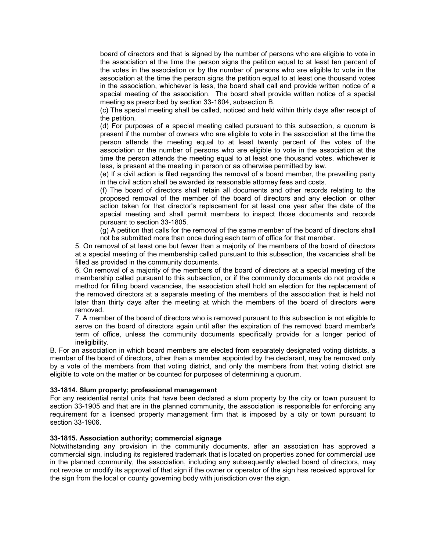board of directors and that is signed by the number of persons who are eligible to vote in the association at the time the person signs the petition equal to at least ten percent of the votes in the association or by the number of persons who are eligible to vote in the association at the time the person signs the petition equal to at least one thousand votes in the association, whichever is less, the board shall call and provide written notice of a special meeting of the association. The board shall provide written notice of a special meeting as prescribed by section 33-1804, subsection B.

(c) The special meeting shall be called, noticed and held within thirty days after receipt of the petition.

(d) For purposes of a special meeting called pursuant to this subsection, a quorum is present if the number of owners who are eligible to vote in the association at the time the person attends the meeting equal to at least twenty percent of the votes of the association or the number of persons who are eligible to vote in the association at the time the person attends the meeting equal to at least one thousand votes, whichever is less, is present at the meeting in person or as otherwise permitted by law.

(e) If a civil action is filed regarding the removal of a board member, the prevailing party in the civil action shall be awarded its reasonable attorney fees and costs.

(f) The board of directors shall retain all documents and other records relating to the proposed removal of the member of the board of directors and any election or other action taken for that director's replacement for at least one year after the date of the special meeting and shall permit members to inspect those documents and records pursuant to section 33-1805.

(g) A petition that calls for the removal of the same member of the board of directors shall not be submitted more than once during each term of office for that member.

5. On removal of at least one but fewer than a majority of the members of the board of directors at a special meeting of the membership called pursuant to this subsection, the vacancies shall be filled as provided in the community documents.

6. On removal of a majority of the members of the board of directors at a special meeting of the membership called pursuant to this subsection, or if the community documents do not provide a method for filling board vacancies, the association shall hold an election for the replacement of the removed directors at a separate meeting of the members of the association that is held not later than thirty days after the meeting at which the members of the board of directors were removed.

7. A member of the board of directors who is removed pursuant to this subsection is not eligible to serve on the board of directors again until after the expiration of the removed board member's term of office, unless the community documents specifically provide for a longer period of ineligibility.

B. For an association in which board members are elected from separately designated voting districts, a member of the board of directors, other than a member appointed by the declarant, may be removed only by a vote of the members from that voting district, and only the members from that voting district are eligible to vote on the matter or be counted for purposes of determining a quorum.

#### <span id="page-11-0"></span>**33-1814. Slum property; professional management**

For any residential rental units that have been declared a slum property by the city or town pursuant to section 33-1905 and that are in the planned community, the association is responsible for enforcing any requirement for a licensed property management firm that is imposed by a city or town pursuant to section 33-1906.

#### <span id="page-11-1"></span>**33-1815. Association authority; commercial signage**

Notwithstanding any provision in the community documents, after an association has approved a commercial sign, including its registered trademark that is located on properties zoned for commercial use in the planned community, the association, including any subsequently elected board of directors, may not revoke or modify its approval of that sign if the owner or operator of the sign has received approval for the sign from the local or county governing body with jurisdiction over the sign.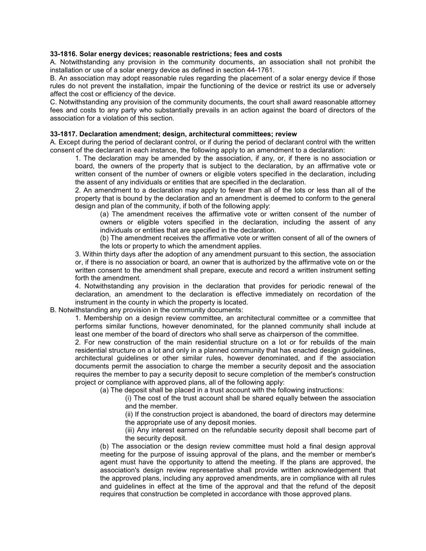#### <span id="page-12-0"></span>**33-1816. Solar energy devices; reasonable restrictions; fees and costs**

A. Notwithstanding any provision in the community documents, an association shall not prohibit the installation or use of a solar energy device as defined in section 44-1761.

B. An association may adopt reasonable rules regarding the placement of a solar energy device if those rules do not prevent the installation, impair the functioning of the device or restrict its use or adversely affect the cost or efficiency of the device.

C. Notwithstanding any provision of the community documents, the court shall award reasonable attorney fees and costs to any party who substantially prevails in an action against the board of directors of the association for a violation of this section.

#### <span id="page-12-1"></span>**33-1817. Declaration amendment; design, architectural committees; review**

A. Except during the period of declarant control, or if during the period of declarant control with the written consent of the declarant in each instance, the following apply to an amendment to a declaration:

1. The declaration may be amended by the association, if any, or, if there is no association or board, the owners of the property that is subject to the declaration, by an affirmative vote or written consent of the number of owners or eligible voters specified in the declaration, including the assent of any individuals or entities that are specified in the declaration.

2. An amendment to a declaration may apply to fewer than all of the lots or less than all of the property that is bound by the declaration and an amendment is deemed to conform to the general design and plan of the community, if both of the following apply:

(a) The amendment receives the affirmative vote or written consent of the number of owners or eligible voters specified in the declaration, including the assent of any individuals or entities that are specified in the declaration.

(b) The amendment receives the affirmative vote or written consent of all of the owners of the lots or property to which the amendment applies.

3. Within thirty days after the adoption of any amendment pursuant to this section, the association or, if there is no association or board, an owner that is authorized by the affirmative vote on or the written consent to the amendment shall prepare, execute and record a written instrument setting forth the amendment.

4. Notwithstanding any provision in the declaration that provides for periodic renewal of the declaration, an amendment to the declaration is effective immediately on recordation of the instrument in the county in which the property is located.

B. Notwithstanding any provision in the community documents:

1. Membership on a design review committee, an architectural committee or a committee that performs similar functions, however denominated, for the planned community shall include at least one member of the board of directors who shall serve as chairperson of the committee.

2. For new construction of the main residential structure on a lot or for rebuilds of the main residential structure on a lot and only in a planned community that has enacted design guidelines, architectural guidelines or other similar rules, however denominated, and if the association documents permit the association to charge the member a security deposit and the association requires the member to pay a security deposit to secure completion of the member's construction project or compliance with approved plans, all of the following apply:

(a) The deposit shall be placed in a trust account with the following instructions:

(i) The cost of the trust account shall be shared equally between the association and the member.

(ii) If the construction project is abandoned, the board of directors may determine the appropriate use of any deposit monies.

(iii) Any interest earned on the refundable security deposit shall become part of the security deposit.

(b) The association or the design review committee must hold a final design approval meeting for the purpose of issuing approval of the plans, and the member or member's agent must have the opportunity to attend the meeting. If the plans are approved, the association's design review representative shall provide written acknowledgement that the approved plans, including any approved amendments, are in compliance with all rules and guidelines in effect at the time of the approval and that the refund of the deposit requires that construction be completed in accordance with those approved plans.